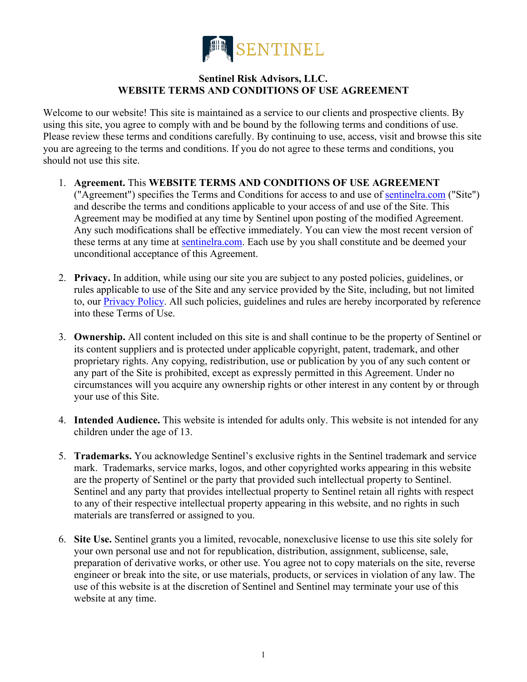

## **Sentinel Risk Advisors, LLC. WEBSITE TERMS AND CONDITIONS OF USE AGREEMENT**

Welcome to our website! This site is maintained as a service to our clients and prospective clients. By using this site, you agree to comply with and be bound by the following terms and conditions of use. Please review these terms and conditions carefully. By continuing to use, access, visit and browse this site you are agreeing to the terms and conditions. If you do not agree to these terms and conditions, you should not use this site.

- 1. **Agreement.** This **WEBSITE TERMS AND CONDITIONS OF USE AGREEMENT** ("Agreement") specifies the Terms and Conditions for access to and use of [sentinelra.com](https://www.sentinelra.com/) ("Site") and describe the terms and conditions applicable to your access of and use of the Site. This Agreement may be modified at any time by Sentinel upon posting of the modified Agreement. Any such modifications shall be effective immediately. You can view the most recent version of these terms at any time at [sentinelra.com.](https://www.sentinelra.com/) Each use by you shall constitute and be deemed your unconditional acceptance of this Agreement.
- 2. **Privacy.** In addition, while using our site you are subject to any posted policies, guidelines, or rules applicable to use of the Site and any service provided by the Site, including, but not limited to, our **Privacy Policy**. All such policies, guidelines and rules are hereby incorporated by reference into these Terms of Use.
- 3. **Ownership.** All content included on this site is and shall continue to be the property of Sentinel or its content suppliers and is protected under applicable copyright, patent, trademark, and other proprietary rights. Any copying, redistribution, use or publication by you of any such content or any part of the Site is prohibited, except as expressly permitted in this Agreement. Under no circumstances will you acquire any ownership rights or other interest in any content by or through your use of this Site.
- 4. **Intended Audience.** This website is intended for adults only. This website is not intended for any children under the age of 13.
- 5. **Trademarks.** You acknowledge Sentinel's exclusive rights in the Sentinel trademark and service mark. Trademarks, service marks, logos, and other copyrighted works appearing in this website are the property of Sentinel or the party that provided such intellectual property to Sentinel. Sentinel and any party that provides intellectual property to Sentinel retain all rights with respect to any of their respective intellectual property appearing in this website, and no rights in such materials are transferred or assigned to you.
- 6. **Site Use.** Sentinel grants you a limited, revocable, nonexclusive license to use this site solely for your own personal use and not for republication, distribution, assignment, sublicense, sale, preparation of derivative works, or other use. You agree not to copy materials on the site, reverse engineer or break into the site, or use materials, products, or services in violation of any law. The use of this website is at the discretion of Sentinel and Sentinel may terminate your use of this website at any time.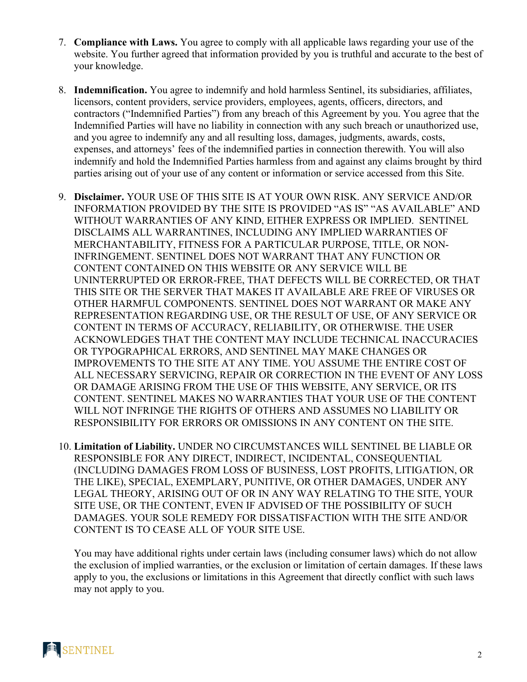- 7. **Compliance with Laws.** You agree to comply with all applicable laws regarding your use of the website. You further agreed that information provided by you is truthful and accurate to the best of your knowledge.
- 8. **Indemnification.** You agree to indemnify and hold harmless Sentinel, its subsidiaries, affiliates, licensors, content providers, service providers, employees, agents, officers, directors, and contractors ("Indemnified Parties") from any breach of this Agreement by you. You agree that the Indemnified Parties will have no liability in connection with any such breach or unauthorized use, and you agree to indemnify any and all resulting loss, damages, judgments, awards, costs, expenses, and attorneys' fees of the indemnified parties in connection therewith. You will also indemnify and hold the Indemnified Parties harmless from and against any claims brought by third parties arising out of your use of any content or information or service accessed from this Site.
- 9. **Disclaimer.** YOUR USE OF THIS SITE IS AT YOUR OWN RISK. ANY SERVICE AND/OR INFORMATION PROVIDED BY THE SITE IS PROVIDED "AS IS" "AS AVAILABLE" AND WITHOUT WARRANTIES OF ANY KIND, EITHER EXPRESS OR IMPLIED. SENTINEL DISCLAIMS ALL WARRANTINES, INCLUDING ANY IMPLIED WARRANTIES OF MERCHANTABILITY, FITNESS FOR A PARTICULAR PURPOSE, TITLE, OR NON-INFRINGEMENT. SENTINEL DOES NOT WARRANT THAT ANY FUNCTION OR CONTENT CONTAINED ON THIS WEBSITE OR ANY SERVICE WILL BE UNINTERRUPTED OR ERROR-FREE, THAT DEFECTS WILL BE CORRECTED, OR THAT THIS SITE OR THE SERVER THAT MAKES IT AVAILABLE ARE FREE OF VIRUSES OR OTHER HARMFUL COMPONENTS. SENTINEL DOES NOT WARRANT OR MAKE ANY REPRESENTATION REGARDING USE, OR THE RESULT OF USE, OF ANY SERVICE OR CONTENT IN TERMS OF ACCURACY, RELIABILITY, OR OTHERWISE. THE USER ACKNOWLEDGES THAT THE CONTENT MAY INCLUDE TECHNICAL INACCURACIES OR TYPOGRAPHICAL ERRORS, AND SENTINEL MAY MAKE CHANGES OR IMPROVEMENTS TO THE SITE AT ANY TIME. YOU ASSUME THE ENTIRE COST OF ALL NECESSARY SERVICING, REPAIR OR CORRECTION IN THE EVENT OF ANY LOSS OR DAMAGE ARISING FROM THE USE OF THIS WEBSITE, ANY SERVICE, OR ITS CONTENT. SENTINEL MAKES NO WARRANTIES THAT YOUR USE OF THE CONTENT WILL NOT INFRINGE THE RIGHTS OF OTHERS AND ASSUMES NO LIABILITY OR RESPONSIBILITY FOR ERRORS OR OMISSIONS IN ANY CONTENT ON THE SITE.
- 10. **Limitation of Liability.** UNDER NO CIRCUMSTANCES WILL SENTINEL BE LIABLE OR RESPONSIBLE FOR ANY DIRECT, INDIRECT, INCIDENTAL, CONSEQUENTIAL (INCLUDING DAMAGES FROM LOSS OF BUSINESS, LOST PROFITS, LITIGATION, OR THE LIKE), SPECIAL, EXEMPLARY, PUNITIVE, OR OTHER DAMAGES, UNDER ANY LEGAL THEORY, ARISING OUT OF OR IN ANY WAY RELATING TO THE SITE, YOUR SITE USE, OR THE CONTENT, EVEN IF ADVISED OF THE POSSIBILITY OF SUCH DAMAGES. YOUR SOLE REMEDY FOR DISSATISFACTION WITH THE SITE AND/OR CONTENT IS TO CEASE ALL OF YOUR SITE USE.

You may have additional rights under certain laws (including consumer laws) which do not allow the exclusion of implied warranties, or the exclusion or limitation of certain damages. If these laws apply to you, the exclusions or limitations in this Agreement that directly conflict with such laws may not apply to you.

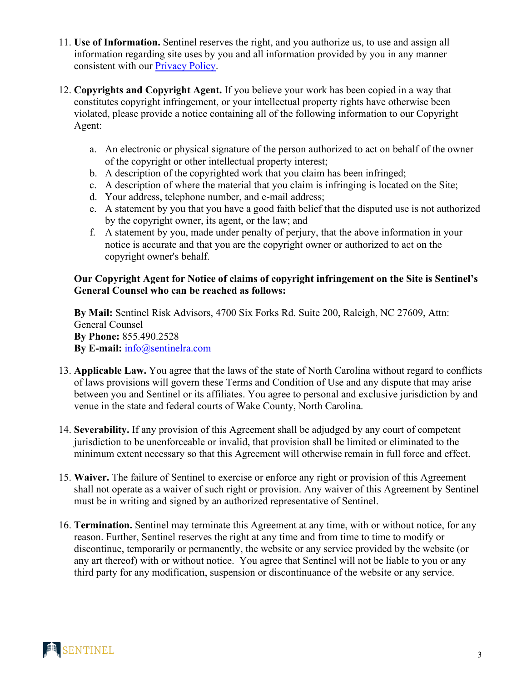- 11. **Use of Information.** Sentinel reserves the right, and you authorize us, to use and assign all information regarding site uses by you and all information provided by you in any manner consistent with our **Privacy Policy**.
- 12. **Copyrights and Copyright Agent.** If you believe your work has been copied in a way that constitutes copyright infringement, or your intellectual property rights have otherwise been violated, please provide a notice containing all of the following information to our Copyright Agent:
	- a. An electronic or physical signature of the person authorized to act on behalf of the owner of the copyright or other intellectual property interest;
	- b. A description of the copyrighted work that you claim has been infringed;
	- c. A description of where the material that you claim is infringing is located on the Site;
	- d. Your address, telephone number, and e-mail address;
	- e. A statement by you that you have a good faith belief that the disputed use is not authorized by the copyright owner, its agent, or the law; and
	- f. A statement by you, made under penalty of perjury, that the above information in your notice is accurate and that you are the copyright owner or authorized to act on the copyright owner's behalf.

## **Our Copyright Agent for Notice of claims of copyright infringement on the Site is Sentinel's General Counsel who can be reached as follows:**

**By Mail:** Sentinel Risk Advisors, 4700 Six Forks Rd. Suite 200, Raleigh, NC 27609, Attn: General Counsel **By Phone:** 855.490.2528 **By E-mail:** [info@sentinelra.com](mailto:info@sentinelra.com)

- 13. **Applicable Law.** You agree that the laws of the state of North Carolina without regard to conflicts of laws provisions will govern these Terms and Condition of Use and any dispute that may arise between you and Sentinel or its affiliates. You agree to personal and exclusive jurisdiction by and venue in the state and federal courts of Wake County, North Carolina.
- 14. **Severability.** If any provision of this Agreement shall be adjudged by any court of competent jurisdiction to be unenforceable or invalid, that provision shall be limited or eliminated to the minimum extent necessary so that this Agreement will otherwise remain in full force and effect.
- 15. **Waiver.** The failure of Sentinel to exercise or enforce any right or provision of this Agreement shall not operate as a waiver of such right or provision. Any waiver of this Agreement by Sentinel must be in writing and signed by an authorized representative of Sentinel.
- 16. **Termination.** Sentinel may terminate this Agreement at any time, with or without notice, for any reason. Further, Sentinel reserves the right at any time and from time to time to modify or discontinue, temporarily or permanently, the website or any service provided by the website (or any art thereof) with or without notice. You agree that Sentinel will not be liable to you or any third party for any modification, suspension or discontinuance of the website or any service.